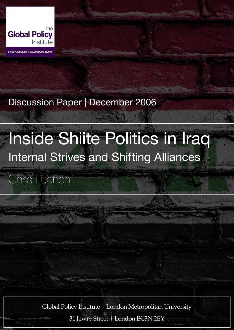

Policy Analysis in a Changing World

# Discussion Paper | December 2006

# Inside Shiite Politics in Iraq Internal Strives and Shifting Alliances

Chris Luenen

Global Policy Institute | London Metropolitan University

31 Jewry Street | London EC3N 2EY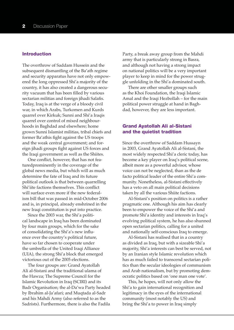# Introduction

The overthrow of Saddam Hussein and the subsequent dismantling of the Ba'ath regime and security apparatus have not only empowered the long oppressed Shi'a majority of the country, it has also created a dangerous security vacuum that has been filled by various sectarian militias and foreign jihadi Salafis. Today, Iraq is at the verge of a bloody civil war, in which Arabs, Turkomen and Kurds quarrel over Kirkuk; Sunni and Shi'a Iraqis quarrel over control of mixed neighbourhoods in Baghdad and elsewhere; home grown Sunni Islamist militias, tribal chiefs and former Ba'athis fight against the US troops and the weak central government; and foreign jihadi groups fight against US forces and the Iraqi government as well as the Shiites.

One conflict, however, that has not featuredprominently in the coverage of the global news media, but which will as much determine the fate of Iraq and its future political outlook is that between quarrelling Shi'iite factions themselves. This conflict will surface even more if the new federalism bill that was passed in mid-October 2006 and is, in principal, already enshrined in the new Iraqi constitution is put into practice.

Since the 2003 war, the Shi'a political landscape in Iraq has been dominated by four main groups, which for the sake of consolidating the Shi'a's new influence over the country's political future, have so far chosen to cooperate under the umbrella of the United Iraqi Alliance (UIA), the strong Shi'a block that emerged victorious out of the 2005 elections.

The four groups are: Grand Ayatollah Ali al-Sistani and the traditional ulama of the Hawza; The Supreme Council for the Islamic Revolution in Iraq (SCIRI) and its Badr Organisation; the al-Da'wa Party headed by Ibrahim al-Ja'afari; and Muqtada al-Sadr and his Mahdi Army (also referred to as the Sadrists). Furthermore, there is also the Fadila

Party, a break away group from the Mahdi army that is particularly strong in Basra, and although not having a strong impact on national politics will be a very important player to keep in mind for the power struggle unfolding in the Shi'a dominated south.

There are other smaller groups such as the Khoi Foundation, the Iraqi Islamic Amal and the Iraqi Hezbollah – for the main political power struggle at hand in Baghdad, however, they are less important.

# Grand Ayatollah Ali al-Sistani and the quietist tradition

Since the overthrow of Saddam Hussayn in 2003, Grand Ayatollah Ali al-Sistani, the most widely respected Shi'a cleric today, has become a key player on Iraq's political scene, albeit more as a powerful advisor, whose voice can not be neglected, than as the de facto political leader of the entire Shi'a community. Nonetheless, al-Sistani effectively has a veto on all main political decisions taken by all the various Shiite factions.

Al-Sistani's position on politics is a rather pragmatic one. Although his aim has clearly been to empower the voice of the Shi'a and promote Shi'a identity and interests in Iraq's evolving political system, he has also shunned open sectarian politics, calling for a united and nationally self-conscious Iraq to emerge.

Al-Sistani has realised that in a country as divided as Iraq, but with a sizeable Shi'a majority, Shi'a interests can best be served, not by an Iranian style Islamic revolution which has as much failed to transcend sectarian politics than the secular ideologies of communism and Arab nationalism, but by promoting democratic politics based on 'one man one vote'.

This, he hopes, will not only allow the Shi'a to gain international recognition and legitimacy in the eyes of the international community (most notably the US) and bring the Shi'a to power in Iraq simply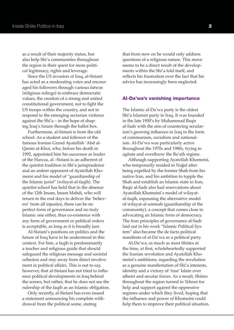as a result of their majority status, but also help Shi'a communities throughout the region in their quest for more political legitimacy, rights and leverage.

Since the US invasion of Iraq, al-Sistani has acted as a moderating voice and encouraged his followers through various fatwas (religious rulings) to embrace democratic values, the creation of a strong and united constitutional government, not to fight the US troops within the country, and not to respond to the emerging sectarian violence against the Shi'a – in the hope of shaping Iraq's future through the ballot box.

Furthermore, al-Sistani is from the old school. As a student and follower of the famous Iranian Grand Ayatollah 'Abd al-Qasim al-Khoi, who, before his death in 1992, appointed him his successor as leader of the Hawza, al –Sistani is an adherent of the quietist tradition in Shi'a jurisprudence and an ardent opponent of Ayatollah Khomeini and his model of "guardianship of the Islamic jurist" (wilayat-al-faqih). The quietist school has held that in the absence of the 12th Imam, Imam Mahdi, who will return in the end days to deliver the 'believers' from all injustice, there can be no perfect form of governance and no truly Islamic one either, thus co-existence with any form of government or political orders is acceptable, as long as it is broadly just.

Al-Sistani's positions on politics and the future of Iraq have to be understood in this context. For him, a faqih is predominantly a teacher and religious guide that should safeguard the religious message and societal cohesion and stay away from direct involvement in political affairs. This is not to say, however, that al-Sistani has not tried to influence political developments in Iraq behind the scenes, but rather, that he does not see the rulership of the faqih as an Islamic obligation.

Only recently, al-Sistani has even issued a statement announcing his complete withdrawal from the political scene, stating

that from now on he would only address questions of a religious nature. This move seems to be a direct result of the developments within the Shi'a fold itself, and reflects his frustration over the fact that his advice has increasingly been neglected.

#### Al-Da'wa's vanishing importance

The Islamic al-Da'wa party is the oldest Shi'a Islamist party in Iraq. It was founded in the late 1950's by Muhammad Baqir al-Sadr with the aim of countering secularism's growing influence in Iraq in the form of communism, socialism and nationalism. Al-Da'wa was particularly active throughout the 1970s and 1980s, trying to agitate and overthrow the Ba'ath regime.

Although supporting Ayatollah Khomeini, who temporarily resided in Najjaf after being expelled by the former Shah from his native Iran, and his ambition to topple the Shah and establish an Islamic state in Iran, Baqir al-Sadr also had reservations about Ayatollah Khomeini's model of wilayatal-faqih, espousing the alternative model of wilayat-al-ummah (guardianship of the community), a concept that comes close to advocating an Islamic form of democracy. The four principles of governance al-Sadr laid out in his work "Islamic Political System" also became the de facto political manifesto of al-Da'wa as a political party.

Al-Da'wa, as much as most Shiites at the time, at first, wholeheartedly supported the Iranian revolution and Ayatollah Khomeini's ambitions, regarding the revolution as a genuine manifestation of Shi'a interests, identity and a victory of 'true' Islam over atheist and secular forces. As a result, Shiites throughout the region turned to Tehran for help and support against the oppressive regimes under which they lived, hoping that the influence and power of Khomeini could help them to improve their political situation.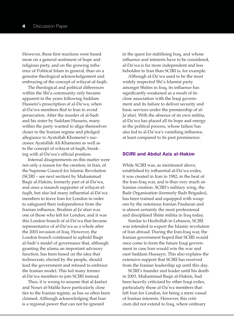However, these first reactions were based more on a general sentiment of hope and religious piety, and on the growing influence of Political Islam in general, than on a genuine theological acknowledgement and embracing of the concept of wilayat-al-faqih.

The theological and political differences within the Shi'a community only became apparent in the years following Saddam Hussein's proscription of al-Da'wa, when al-Da'wa members fled to Iran to avoid persecution. After the murder of al-Sadr and his sister by Saddam Hussein, many within the party wanted to align themselves closer to the Iranian regime and pledged allegiance to Ayatollah Khomeini's successor Ayatollah Ali Khamenei as well as to the concept of wilayat-al-faqih, breaking with al-Da'wa's official position.

Internal disagreements on this matter were not only a reason for the creation, in Iran, of the Supreme Council for Islamic Revolution (SCIRI – see next section) by Muhammad Baqir al-Hakim, formerly part of al-Da'wa, and once a staunch supporter of wilayat-alfaqih, but also led many influential al-Da'wa members to leave Iran for London in order to safeguard their independence from the Iranian influence. Ibrahim al-Ja'afari was one of those who left for London, and it was this London branch of al-Da'wa that became representative of al-Da'wa as a whole after the 2003 invasion of Iraq. However, the London branch continued to uphold Baqir al-Sadr's model of governance that, although granting the ulama an important advisory function, has been based on the idea that technocrats, elected by the people, should lead the government and refused to embrace the Iranian model. This led many former al-Da'wa members to join SCIRI instead.

Thus, it is wrong to assume that al-Jaafari and Nouri al-Maliki have particularly close ties to the Iranian regime, as has so often been claimed. Although acknowledging that Iran is a regional power that can not be ignored

in the quest for stabilising Iraq, and whose influence and interests have to be considered, al-Da'wa is far more independent and less beholden to Iran than SCIRI is, for example.

Although al-Da'wa used to be the most widely respected Shi'a Islamist party amongst Shiites in Iraq, its influence has significantly weakened as a result of its close association with the Iraqi government and its failure to deliver security and basic services under the premiership of al-Ja'afari. With the absence of its own militia, al-Da'wa has placed all its hope and energy in the political process, whose failure has also led to al-Da'wa's vanishing influence, at least compared to its past prominence.

### SCIRI and Abdul Aziz al-Hakim

While SCIRI was, as mentioned above, established by influential al-Da'wa exiles, it was created in Iran in 1982, in the heat of the Iran-Iraq war, and is thus very much an Iranian creation. SCIRI's military wing, the Badr Organisation (formerly Badr Brigades), has been trained and equipped with weapons by the notorious Iranian Pasdaran and is almost certainly the most professional and disciplined Shiite militia in Iraq today.

Similar to Hezbollah in Lebanon, SCIRI was intended to export the Islamic revolution of Iran abroad. During the Iran-Iraq war, the Iranian government hoped that SCIRI would once come to form the future Iraqi government in case Iran would win the war and oust Saddam Hussayn. This also explains the extensive support that SCIRI has received from the Iranian leadership up until this day.

SCIRI's founder and leader until his death in 2003, Muhammad Baqir al-Hakim, had been heavily criticised by other Iraqi exiles, particularly those al-Da'wa members that left Iran for London, for being a mere vassal of Iranian interests. However, this criticism did not extend to Iraq, where ordinary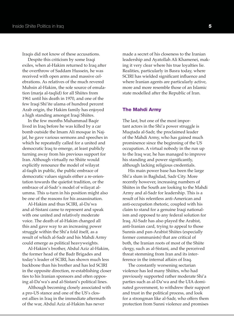Iraqis did not know of these accusations.

Despite this criticism by some Iraqi exiles, when al-Hakim returned to Iraq after the overthrow of Saddam Hussein, he was received with open arms and massive celebrations. As relatives of the much revered Muhsin al-Hakim, the sole source of emulation (marja al-taqlid) for all Shiites from 1961 until his death in 1970, and one of the few Iraqi Shi'ite ulama of hundred percent Arab origin, the Hakim family has enjoyed a high standing amongst Iraqi Shiites.

In the few months Muhammad Baqir lived in Iraq before he was killed by a car bomb outside the Imam Ali mosque in Najjaf, he gave various sermons and speeches in which he repeatedly called for a united and democratic Iraq to emerge, at least publicly turning away from his previous support for Iran. Although virtually no Shiite would explicitly renounce the model of wilayat al-faqih in public, the public embrace of democratic values signals either a re-orientation towards the quietist tradition, or the embrace of al-Sadr's model of wilayat alumma. This u-turn in his position might also be one of the reasons for his assassination.

Al-Hakim and thus SCIRI, al-Da'wa and al-Sistani came to represent and speak with one united and relatively moderate voice. The death of al-Hakim changed all this and gave way to an increasing power struggle within the Shi'a fold itself, as a result of which al-Sadr and his Mahdi Army could emerge as political heavyweights.

Al-Hakim's brother, Abdul Aziz al-Hakim, the former head of the Badr Brigades and today's leader of SCIRI, has shown much less backbone than his brother and has led SCIRI in the opposite direction, re-establishing closer ties to his Iranian sponsors and often opposing al-Da'wa's and al-Sistani's political lines.

Although becoming closely associated with a pro-US stance and one of the US's closest allies in Iraq in the immediate aftermath of the war, Abdul Aziz al-Hakim has never

made a secret of his closeness to the Iranian leadership and Ayatollah Ali Khamenei, making it very clear where his true loyalties lie. Realities, particularly in Basra today, where SCIRI has wielded significant influence and where Iranian agents are particularly active, more and more resemble those of an Islamic state modelled after the Republic of Iran.

#### The Mahdi Army

The last, but one of the most important actors in the Shi'a power struggle is Muqtada al-Sadr, the proclaimed leader of the Mahdi Army, who has gained much prominence since the beginning of the US occupation. A virtual nobody in the run up to the Iraq war, he has managed to improve his standing and power significantly, although lacking religious credentials.

His main power base has been the large Shi'a slum in Baghdad, Sadr City. More recently however, increasing numbers of Shiites in the South are looking to the Mahdi Army and al-Sadr for leadership. This is a result of his relentless anti-American and anti-occupation rhetoric, coupled with his claim to stand for a genuine Iraqi nationalism and opposed to any federal solution for Iraq. Al-Sadr has also played the Arabist, anti-Iranian card, trying to appeal to those Sunnis and pan-Arabist Shiites (especially former communists) that are critical of both, the Iranian roots of most of the Shiite clergy, such as al-Sistani, and the perceived threat stemming from Iran and its interference in the internal affairs of Iraq.

The constantly worsening sectarian violence has led many Shiites, who had previously supported rather moderate Shi'a parties such as al-Da'wa and the UIA dominated government, to withdrew their support and trust in the political process, and look for a strongman like al-Sadr, who offers them protection from Sunni violence and promises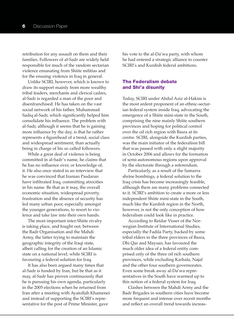retribution for any assault on them and their families. Followers of al-Sadr are widely held responsible for much of the random sectarian violence emanating from Shiite militias and for the ensuing violence in Iraq in general.

Unlike SCIRI, however, which is known to draw its support mainly from more wealthy tribal leaders, merchants and clerical cadres, al-Sadr is regarded a man of the poor and disenfranchised. He has taken on the vast social network of his father, Muhammad Sadiq al-Sadr, which significantly helped him consolidate his influence. The problem with al-Sadr, although it seems that he is gaining more influence by the day, is that he rather represents a figurehead of a trend, social class and widespread sentiment, than actually being in charge of his so called followers.

While a great deal of violence is being committed in al-Sadr's name, he claims that he has no influence over, or knowledge of, it. He also once stated in an interview that he was convinced that Iranian Pasdaran have infiltrated Iraq, committing atrocities in his name. Be that as it may, the overall economic situation, widespread poverty, frustration and the absence of security has led many urban poor, especially amongst the younger generations, to resort to violence and take law into their own hands.

The most important inter-Shiite rivalry is taking place, and fought out, between the Badr Organisation and the Mahdi Army, the latter trying to maintain the geographic integrity of the Iraqi state, albeit calling for the creation of an Islamic state on a national level, while SCIRI is favouring a federal solution for Iraq.

It has also been argued many times that al-Sadr is funded by Iran, but be that as it may, al-Sadr has proven continuously that he is pursuing his own agenda, particularly in the 2005 elections when he returned from Iran after a meeting with Ayatollah Khamenei and instead of supporting the SCIRI's representative for the post of Prime Minister, gave

his vote to the al-Da'wa party, with whom he had entered a strategic alliance to counter SCIRI's and Kurdish federal ambitions.

# The Federalism debate and Shi'a disunity

Today, SCIRI under Abdul Aziz al-Hakim is the most ardent proponent of an ethnic-sectarian federal system inside Iraq, advocating the emergence of a Shiite mini-state in the South, comprising the nine mainly Shiite southern provinces and hoping for political control over the oil rich region with Basra at its centre. SCIRI, alongside the Kurdish parties, was the main initiator of the federalism bill that was passed with only a slight majority in October 2006 and allows for the formation of semi-autonomous regions upon approval by the electorate through a referendum.

Particularly, as a result of the Samarra shrine bombings, a federal solution to the Iraq crisis has become increasingly feasible, although there are many problems connected to it. SCIRI's ambition to create a more or less independent Shiite mini-state in the South, much like the Kurdish region in the North, however, is not the only conception of how federalism could look like in practice.

According to Reidar Visser of the Norwegian Institute of International Studies, especially the Fadila Party, backed by some tribal elders in the three provinces of Basra, Dhi Qar and Maysan, has favoured the much older idea of a federal entity comprised only of the three oil rich southern provinces, while excluding Karbala, Najaf and the other four southern governorates. Even some break away al-Da'wa representatives in the South have warmed up to this notion of a federal system for Iraq.

Clashes between the Mahdi Army and the Badr Brigades in southern cities have become more frequent and intense over recent months and reflect an overall trend towards increas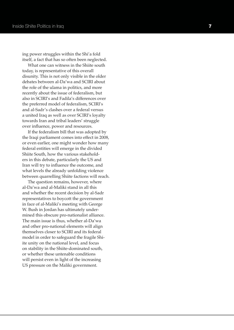ing power struggles within the Shi'a fold itself, a fact that has so often been neglected.

What one can witness in the Shiite south today, is representative of this overall disunity. This is not only visible in the older debates between al-Da'wa and SCIRI about the role of the ulama in politics, and more recently about the issue of federalism, but also in SCIRI's and Fadila's differences over the preferred model of federalism, SCIRI's and al-Sadr's clashes over a federal versus a united Iraq as well as over SCIRI's loyalty towards Iran and tribal leaders' struggle over influence, power and resources.

If the federalism bill that was adopted by the Iraqi parliament comes into effect in 2008, or even earlier, one might wonder how many federal entities will emerge in the divided Shiite South, how the various stakeholders in this debate, particularly the US and Iran will try to influence the outcome, and what levels the already unfolding violence between quarrelling Shiite factions will reach.

The question remains, however, where al-Da'wa and al-Maliki stand in all this and whether the recent decision by al-Sadr representatives to boycott the government in face of al-Maliki's meeting with George W. Bush in Jordan has ultimately undermined this obscure pro-nationalist alliance. The main issue is thus, whether al-Da'wa and other pro-national elements will align themselves closer to SCIRI and its federal model in order to safeguard the fragile Shiite unity on the national level, and focus on stability in the Shiite-dominated south, or whether these untenable conditions will persist even in light of the increasing US pressure on the Maliki government.